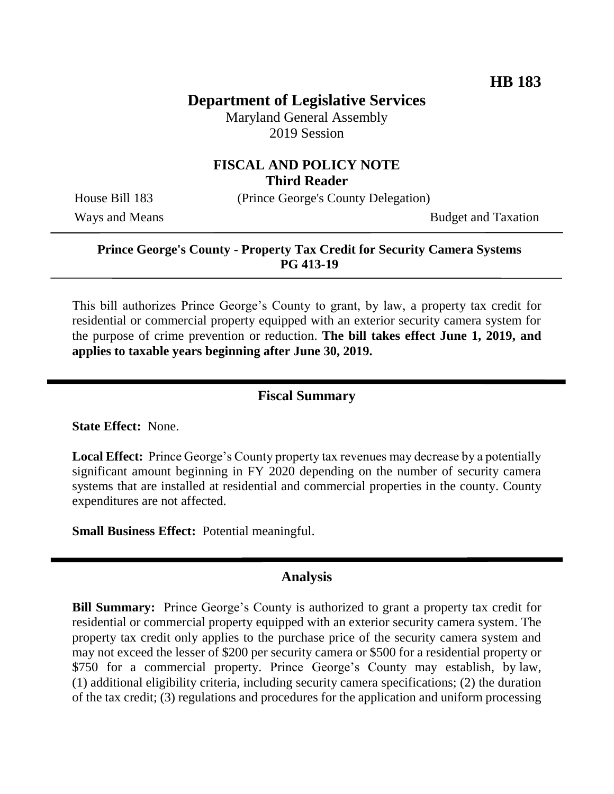# **Department of Legislative Services**

Maryland General Assembly 2019 Session

## **FISCAL AND POLICY NOTE Third Reader**

House Bill 183 (Prince George's County Delegation)

Ways and Means Budget and Taxation

#### **Prince George's County - Property Tax Credit for Security Camera Systems PG 413-19**

This bill authorizes Prince George's County to grant, by law, a property tax credit for residential or commercial property equipped with an exterior security camera system for the purpose of crime prevention or reduction. **The bill takes effect June 1, 2019, and applies to taxable years beginning after June 30, 2019.**

### **Fiscal Summary**

**State Effect:** None.

**Local Effect:** Prince George's County property tax revenues may decrease by a potentially significant amount beginning in FY 2020 depending on the number of security camera systems that are installed at residential and commercial properties in the county. County expenditures are not affected.

**Small Business Effect:** Potential meaningful.

#### **Analysis**

**Bill Summary:** Prince George's County is authorized to grant a property tax credit for residential or commercial property equipped with an exterior security camera system. The property tax credit only applies to the purchase price of the security camera system and may not exceed the lesser of \$200 per security camera or \$500 for a residential property or \$750 for a commercial property. Prince George's County may establish, by law, (1) additional eligibility criteria, including security camera specifications; (2) the duration of the tax credit; (3) regulations and procedures for the application and uniform processing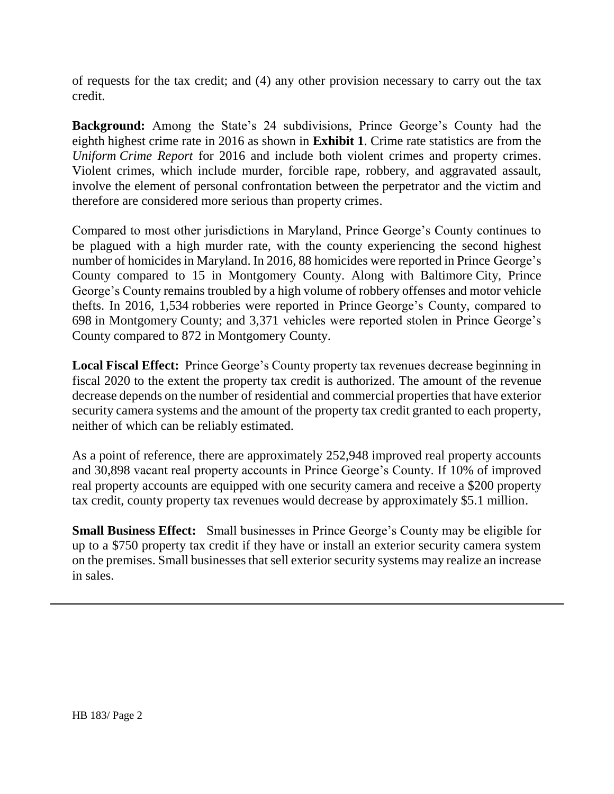of requests for the tax credit; and (4) any other provision necessary to carry out the tax credit.

**Background:** Among the State's 24 subdivisions, Prince George's County had the eighth highest crime rate in 2016 as shown in **Exhibit 1**. Crime rate statistics are from the *Uniform Crime Report* for 2016 and include both violent crimes and property crimes. Violent crimes, which include murder, forcible rape, robbery, and aggravated assault, involve the element of personal confrontation between the perpetrator and the victim and therefore are considered more serious than property crimes.

Compared to most other jurisdictions in Maryland, Prince George's County continues to be plagued with a high murder rate, with the county experiencing the second highest number of homicides in Maryland. In 2016, 88 homicides were reported in Prince George's County compared to 15 in Montgomery County. Along with Baltimore City, Prince George's County remains troubled by a high volume of robbery offenses and motor vehicle thefts. In 2016, 1,534 robberies were reported in Prince George's County, compared to 698 in Montgomery County; and 3,371 vehicles were reported stolen in Prince George's County compared to 872 in Montgomery County.

**Local Fiscal Effect:** Prince George's County property tax revenues decrease beginning in fiscal 2020 to the extent the property tax credit is authorized. The amount of the revenue decrease depends on the number of residential and commercial properties that have exterior security camera systems and the amount of the property tax credit granted to each property, neither of which can be reliably estimated.

As a point of reference, there are approximately 252,948 improved real property accounts and 30,898 vacant real property accounts in Prince George's County. If 10% of improved real property accounts are equipped with one security camera and receive a \$200 property tax credit, county property tax revenues would decrease by approximately \$5.1 million.

**Small Business Effect:** Small businesses in Prince George's County may be eligible for up to a \$750 property tax credit if they have or install an exterior security camera system on the premises. Small businesses that sell exterior security systems may realize an increase in sales.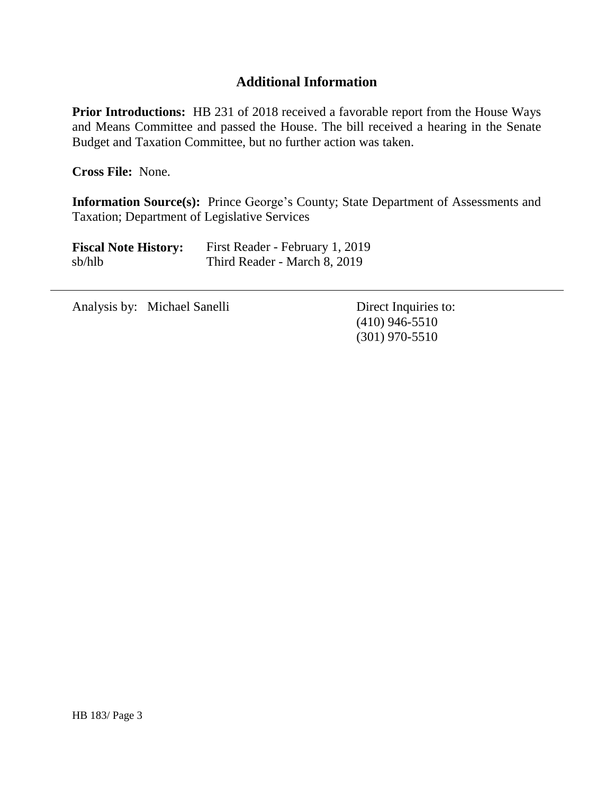## **Additional Information**

**Prior Introductions:** HB 231 of 2018 received a favorable report from the House Ways and Means Committee and passed the House. The bill received a hearing in the Senate Budget and Taxation Committee, but no further action was taken.

**Cross File:** None.

**Information Source(s):** Prince George's County; State Department of Assessments and Taxation; Department of Legislative Services

| <b>Fiscal Note History:</b> | First Reader - February 1, 2019 |
|-----------------------------|---------------------------------|
| sb/hlb                      | Third Reader - March 8, 2019    |

Analysis by: Michael Sanelli Direct Inquiries to:

(410) 946-5510 (301) 970-5510